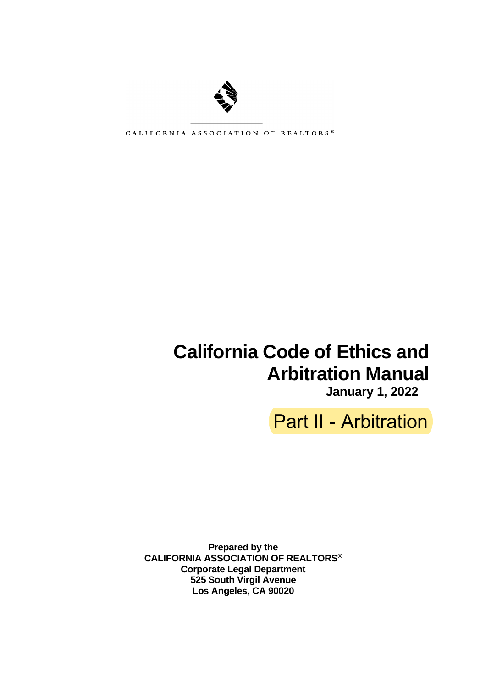

CALIFORNIA ASSOCIATION OF REALTORS\*

# **California Code of Ethics and Arbitration Manual**

**January 1, 2022**

Part II - Arbitration

**Prepared by the CALIFORNIA ASSOCIATION OF REALTORS® Corporate Legal Department 525 South Virgil Avenue Los Angeles, CA 90020**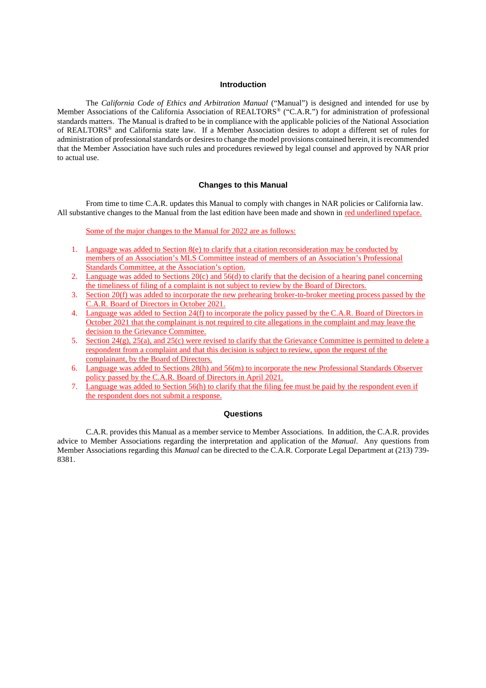#### **Introduction**

The *California Code of Ethics and Arbitration Manual* ("Manual") is designed and intended for use by Member Associations of the California Association of REALTORS® ("C.A.R.") for administration of professional standards matters. The Manual is drafted to be in compliance with the applicable policies of the National Association of REALTORS® and California state law. If a Member Association desires to adopt a different set of rules for administration of professional standards or desires to change the model provisions contained herein, it is recommended that the Member Association have such rules and procedures reviewed by legal counsel and approved by NAR prior to actual use.

#### **Changes to this Manual**

From time to time C.A.R. updates this Manual to comply with changes in NAR policies or California law. All substantive changes to the Manual from the last edition have been made and shown in red underlined typeface.

Some of the major changes to the Manual for 2022 are as follows:

- 1. Language was added to Section 8(e) to clarify that a citation reconsideration may be conducted by members of an Association's MLS Committee instead of members of an Association's Professional Standards Committee, at the Association's option.
- 2. Language was added to Sections 20(c) and 56(d) to clarify that the decision of a hearing panel concerning the timeliness of filing of a complaint is not subject to review by the Board of Directors.
- 3. Section 20(f) was added to incorporate the new prehearing broker-to-broker meeting process passed by the C.A.R. Board of Directors in October 2021.
- 4. Language was added to Section 24(f) to incorporate the policy passed by the C.A.R. Board of Directors in October 2021 that the complainant is not required to cite allegations in the complaint and may leave the decision to the Grievance Committee.
- 5. Section 24(g), 25(a), and 25(c) were revised to clarify that the Grievance Committee is permitted to delete a respondent from a complaint and that this decision is subject to review, upon the request of the complainant, by the Board of Directors.
- 6. Language was added to Sections 28(h) and 56(m) to incorporate the new Professional Standards Observer policy passed by the C.A.R. Board of Directors in April 2021.
- 7. Language was added to Section 56(h) to clarify that the filing fee must be paid by the respondent even if the respondent does not submit a response.

#### **Questions**

C.A.R. provides this Manual as a member service to Member Associations. In addition, the C.A.R. provides advice to Member Associations regarding the interpretation and application of the *Manual*. Any questions from Member Associations regarding this *Manual* can be directed to the C.A.R. Corporate Legal Department at (213) 739- 8381.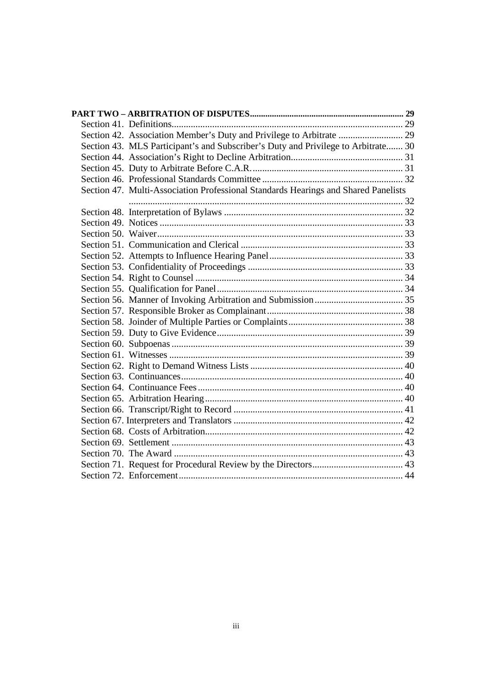| Section 43. MLS Participant's and Subscriber's Duty and Privilege to Arbitrate 30  |  |
|------------------------------------------------------------------------------------|--|
|                                                                                    |  |
|                                                                                    |  |
|                                                                                    |  |
| Section 47. Multi-Association Professional Standards Hearings and Shared Panelists |  |
|                                                                                    |  |
|                                                                                    |  |
|                                                                                    |  |
|                                                                                    |  |
|                                                                                    |  |
|                                                                                    |  |
|                                                                                    |  |
|                                                                                    |  |
|                                                                                    |  |
|                                                                                    |  |
|                                                                                    |  |
|                                                                                    |  |
|                                                                                    |  |
|                                                                                    |  |
|                                                                                    |  |
|                                                                                    |  |
|                                                                                    |  |
|                                                                                    |  |
|                                                                                    |  |
|                                                                                    |  |
|                                                                                    |  |
|                                                                                    |  |
|                                                                                    |  |
|                                                                                    |  |
|                                                                                    |  |
|                                                                                    |  |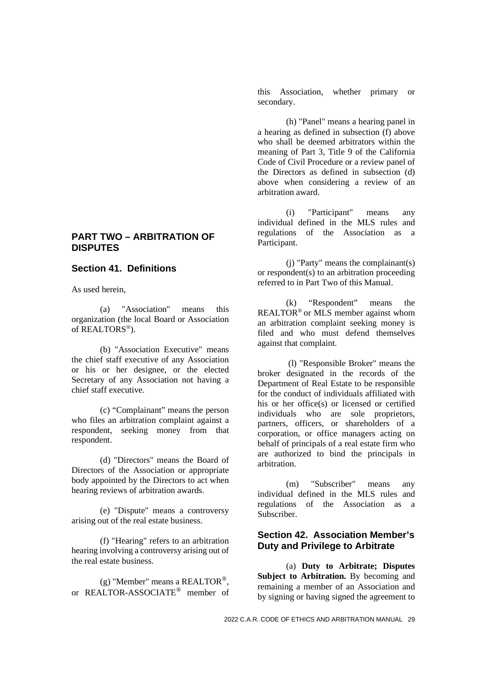#### **PART TWO – ARBITRATION OF DISPUTES**

#### **Section 41. Definitions**

As used herein,

(a) "Association" means this organization (the local Board or Association of REALTORS®).

(b) "Association Executive" means the chief staff executive of any Association or his or her designee, or the elected Secretary of any Association not having a chief staff executive.

(c) "Complainant" means the person who files an arbitration complaint against a respondent, seeking money from that respondent.

(d) "Directors" means the Board of Directors of the Association or appropriate body appointed by the Directors to act when hearing reviews of arbitration awards.

(e) "Dispute" means a controversy arising out of the real estate business.

(f) "Hearing" refers to an arbitration hearing involving a controversy arising out of the real estate business.

(g) "Member" means a REALTOR<sup>®</sup>. or REALTOR-ASSOCIATE® member of this Association, whether primary or secondary.

(h) "Panel" means a hearing panel in a hearing as defined in subsection (f) above who shall be deemed arbitrators within the meaning of Part 3, Title 9 of the California Code of Civil Procedure or a review panel of the Directors as defined in subsection (d) above when considering a review of an arbitration award.

(i) "Participant" means any individual defined in the MLS rules and regulations of the Association as a Participant.

(j) "Party" means the complainant(s) or respondent(s) to an arbitration proceeding referred to in Part Two of this Manual.

(k) "Respondent" means the REALTOR® or MLS member against whom an arbitration complaint seeking money is filed and who must defend themselves against that complaint.

(l) "Responsible Broker" means the broker designated in the records of the Department of Real Estate to be responsible for the conduct of individuals affiliated with his or her office(s) or licensed or certified individuals who are sole proprietors, partners, officers, or shareholders of a corporation, or office managers acting on behalf of principals of a real estate firm who are authorized to bind the principals in arbitration.

(m) "Subscriber" means any individual defined in the MLS rules and regulations of the Association as a Subscriber.

#### **Section 42. Association Member's Duty and Privilege to Arbitrate**

(a) **Duty to Arbitrate; Disputes Subject to Arbitration.** By becoming and remaining a member of an Association and by signing or having signed the agreement to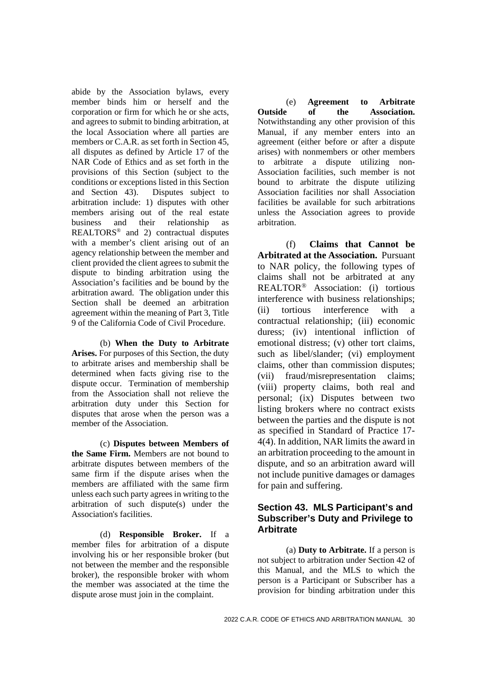abide by the Association bylaws, every member binds him or herself and the corporation or firm for which he or she acts, and agrees to submit to binding arbitration, at the local Association where all parties are members or C.A.R. as set forth in Section 45, all disputes as defined by Article 17 of the NAR Code of Ethics and as set forth in the provisions of this Section (subject to the conditions or exceptions listed in this Section and Section 43). Disputes subject to arbitration include: 1) disputes with other members arising out of the real estate business and their relationship as REALTORS® and 2) contractual disputes with a member's client arising out of an agency relationship between the member and client provided the client agrees to submit the dispute to binding arbitration using the Association's facilities and be bound by the arbitration award. The obligation under this Section shall be deemed an arbitration agreement within the meaning of Part 3, Title 9 of the California Code of Civil Procedure.

(b) **When the Duty to Arbitrate Arises.** For purposes of this Section, the duty to arbitrate arises and membership shall be determined when facts giving rise to the dispute occur. Termination of membership from the Association shall not relieve the arbitration duty under this Section for disputes that arose when the person was a member of the Association.

(c) **Disputes between Members of the Same Firm.** Members are not bound to arbitrate disputes between members of the same firm if the dispute arises when the members are affiliated with the same firm unless each such party agrees in writing to the arbitration of such dispute(s) under the Association's facilities.

(d) **Responsible Broker.** If a member files for arbitration of a dispute involving his or her responsible broker (but not between the member and the responsible broker), the responsible broker with whom the member was associated at the time the dispute arose must join in the complaint.

(e) **Agreement to Arbitrate Outside of the Association.** Notwithstanding any other provision of this Manual, if any member enters into an agreement (either before or after a dispute arises) with nonmembers or other members to arbitrate a dispute utilizing non-Association facilities, such member is not bound to arbitrate the dispute utilizing Association facilities nor shall Association facilities be available for such arbitrations unless the Association agrees to provide arbitration.

(f) **Claims that Cannot be Arbitrated at the Association.** Pursuant to NAR policy, the following types of claims shall not be arbitrated at any REALTOR® Association: (i) tortious interference with business relationships; (ii) tortious interference with a contractual relationship; (iii) economic duress; (iv) intentional infliction of emotional distress; (v) other tort claims, such as libel/slander; (vi) employment claims, other than commission disputes; (vii) fraud/misrepresentation claims; (viii) property claims, both real and personal; (ix) Disputes between two listing brokers where no contract exists between the parties and the dispute is not as specified in Standard of Practice 17- 4(4). In addition, NAR limits the award in an arbitration proceeding to the amount in dispute, and so an arbitration award will not include punitive damages or damages for pain and suffering.

### **Section 43. MLS Participant's and Subscriber's Duty and Privilege to Arbitrate**

(a) **Duty to Arbitrate.** If a person is not subject to arbitration under Section 42 of this Manual, and the MLS to which the person is a Participant or Subscriber has a provision for binding arbitration under this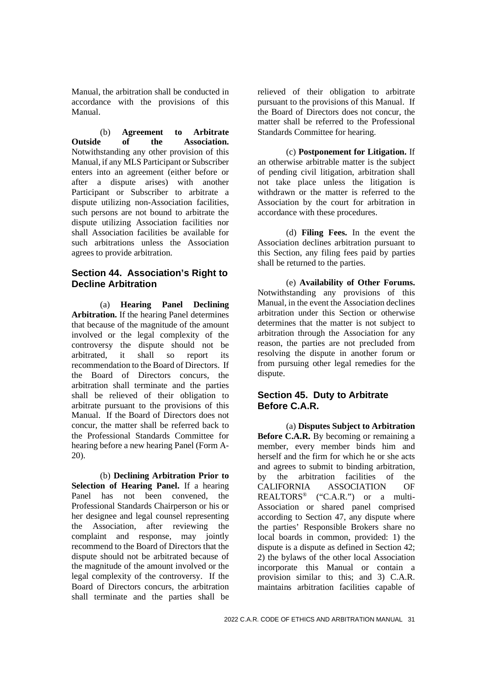Manual, the arbitration shall be conducted in accordance with the provisions of this Manual.

(b) **Agreement to Arbitrate Outside of the Association.** Notwithstanding any other provision of this Manual, if any MLS Participant or Subscriber enters into an agreement (either before or after a dispute arises) with another Participant or Subscriber to arbitrate a dispute utilizing non-Association facilities, such persons are not bound to arbitrate the dispute utilizing Association facilities nor shall Association facilities be available for such arbitrations unless the Association agrees to provide arbitration.

## **Section 44. Association's Right to Decline Arbitration**

(a) **Hearing Panel Declining Arbitration.** If the hearing Panel determines that because of the magnitude of the amount involved or the legal complexity of the controversy the dispute should not be arbitrated, it shall so report its recommendation to the Board of Directors. If the Board of Directors concurs, the arbitration shall terminate and the parties shall be relieved of their obligation to arbitrate pursuant to the provisions of this Manual. If the Board of Directors does not concur, the matter shall be referred back to the Professional Standards Committee for hearing before a new hearing Panel (Form A-20).

(b) **Declining Arbitration Prior to Selection of Hearing Panel.** If a hearing Panel has not been convened, the Professional Standards Chairperson or his or her designee and legal counsel representing the Association, after reviewing the complaint and response, may jointly recommend to the Board of Directors that the dispute should not be arbitrated because of the magnitude of the amount involved or the legal complexity of the controversy. If the Board of Directors concurs, the arbitration shall terminate and the parties shall be

relieved of their obligation to arbitrate pursuant to the provisions of this Manual. If the Board of Directors does not concur, the matter shall be referred to the Professional Standards Committee for hearing.

(c) **Postponement for Litigation.** If an otherwise arbitrable matter is the subject of pending civil litigation, arbitration shall not take place unless the litigation is withdrawn or the matter is referred to the Association by the court for arbitration in accordance with these procedures.

(d) **Filing Fees.** In the event the Association declines arbitration pursuant to this Section, any filing fees paid by parties shall be returned to the parties.

(e) **Availability of Other Forums.** Notwithstanding any provisions of this Manual, in the event the Association declines arbitration under this Section or otherwise determines that the matter is not subject to arbitration through the Association for any reason, the parties are not precluded from resolving the dispute in another forum or from pursuing other legal remedies for the dispute.

# **Section 45. Duty to Arbitrate Before C.A.R.**

(a) **Disputes Subject to Arbitration Before C.A.R.** By becoming or remaining a member, every member binds him and herself and the firm for which he or she acts and agrees to submit to binding arbitration, by the arbitration facilities of the CALIFORNIA ASSOCIATION OF REALTORS® ("C.A.R.") or a multi-Association or shared panel comprised according to Section 47, any dispute where the parties' Responsible Brokers share no local boards in common, provided: 1) the dispute is a dispute as defined in Section 42; 2) the bylaws of the other local Association incorporate this Manual or contain a provision similar to this; and 3) C.A.R. maintains arbitration facilities capable of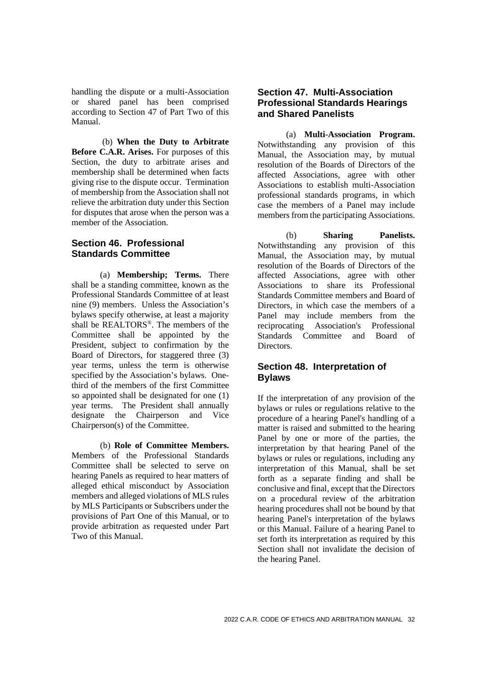handling the dispute or a multi-Association or shared panel has been comprised according to Section 47 of Part Two of this Manual.

(b) **When the Duty to Arbitrate Before C.A.R. Arises.** For purposes of this Section, the duty to arbitrate arises and membership shall be determined when facts giving rise to the dispute occur. Termination of membership from the Association shall not relieve the arbitration duty under this Section for disputes that arose when the person was a member of the Association.

# **Section 46. Professional Standards Committee**

(a) **Membership; Terms.** There shall be a standing committee, known as the Professional Standards Committee of at least nine (9) members. Unless the Association's bylaws specify otherwise, at least a majority shall be REALTORS® . The members of the Committee shall be appointed by the President, subject to confirmation by the Board of Directors, for staggered three (3) year terms, unless the term is otherwise specified by the Association's bylaws. Onethird of the members of the first Committee so appointed shall be designated for one (1) year terms. The President shall annually designate the Chairperson and Vice Chairperson(s) of the Committee.

(b) **Role of Committee Members.** Members of the Professional Standards Committee shall be selected to serve on hearing Panels as required to hear matters of alleged ethical misconduct by Association members and alleged violations of MLS rules by MLS Participants or Subscribers under the provisions of Part One of this Manual, or to provide arbitration as requested under Part Two of this Manual.

# **Section 47. Multi-Association Professional Standards Hearings and Shared Panelists**

(a) **Multi-Association Program.** Notwithstanding any provision of this Manual, the Association may, by mutual resolution of the Boards of Directors of the affected Associations, agree with other Associations to establish multi-Association professional standards programs, in which case the members of a Panel may include members from the participating Associations.

(b) **Sharing Panelists.** Notwithstanding any provision of this Manual, the Association may, by mutual resolution of the Boards of Directors of the affected Associations, agree with other Associations to share its Professional Standards Committee members and Board of Directors, in which case the members of a Panel may include members from the reciprocating Association's Professional Standards Committee and Board of **Directors** 

# **Section 48. Interpretation of Bylaws**

If the interpretation of any provision of the bylaws or rules or regulations relative to the procedure of a hearing Panel's handling of a matter is raised and submitted to the hearing Panel by one or more of the parties, the interpretation by that hearing Panel of the bylaws or rules or regulations, including any interpretation of this Manual, shall be set forth as a separate finding and shall be conclusive and final, except that the Directors on a procedural review of the arbitration hearing procedures shall not be bound by that hearing Panel's interpretation of the bylaws or this Manual. Failure of a hearing Panel to set forth its interpretation as required by this Section shall not invalidate the decision of the hearing Panel.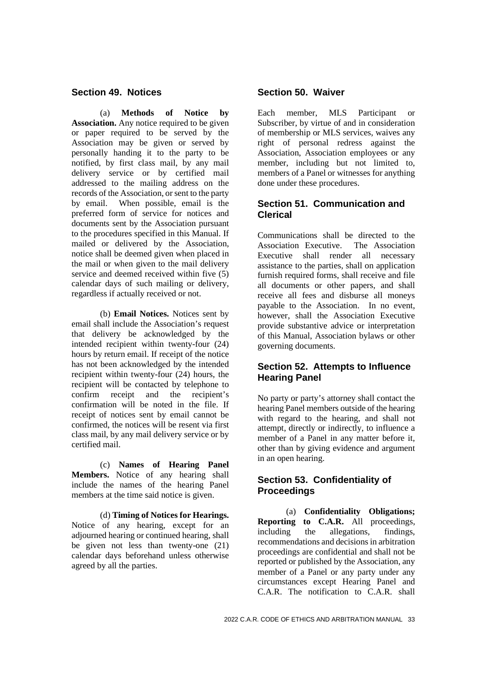#### **Section 49. Notices**

(a) **Methods of Notice by Association.** Any notice required to be given or paper required to be served by the Association may be given or served by personally handing it to the party to be notified, by first class mail, by any mail delivery service or by certified mail addressed to the mailing address on the records of the Association, or sent to the party by email. When possible, email is the preferred form of service for notices and documents sent by the Association pursuant to the procedures specified in this Manual. If mailed or delivered by the Association, notice shall be deemed given when placed in the mail or when given to the mail delivery service and deemed received within five (5) calendar days of such mailing or delivery, regardless if actually received or not.

(b) **Email Notices.** Notices sent by email shall include the Association's request that delivery be acknowledged by the intended recipient within twenty-four (24) hours by return email. If receipt of the notice has not been acknowledged by the intended recipient within twenty-four (24) hours, the recipient will be contacted by telephone to confirm receipt and the recipient's confirmation will be noted in the file. If receipt of notices sent by email cannot be confirmed, the notices will be resent via first class mail, by any mail delivery service or by certified mail.

(c) **Names of Hearing Panel Members.** Notice of any hearing shall include the names of the hearing Panel members at the time said notice is given.

(d) **Timing of Notices for Hearings.** Notice of any hearing, except for an adjourned hearing or continued hearing, shall be given not less than twenty-one (21) calendar days beforehand unless otherwise agreed by all the parties.

#### **Section 50. Waiver**

Each member, MLS Participant or Subscriber, by virtue of and in consideration of membership or MLS services, waives any right of personal redress against the Association, Association employees or any member, including but not limited to, members of a Panel or witnesses for anything done under these procedures.

### **Section 51. Communication and Clerical**

Communications shall be directed to the Association Executive. The Association Executive shall render all necessary assistance to the parties, shall on application furnish required forms, shall receive and file all documents or other papers, and shall receive all fees and disburse all moneys payable to the Association. In no event, however, shall the Association Executive provide substantive advice or interpretation of this Manual, Association bylaws or other governing documents.

### **Section 52. Attempts to Influence Hearing Panel**

No party or party's attorney shall contact the hearing Panel members outside of the hearing with regard to the hearing, and shall not attempt, directly or indirectly, to influence a member of a Panel in any matter before it, other than by giving evidence and argument in an open hearing.

# **Section 53. Confidentiality of Proceedings**

(a) **Confidentiality Obligations; Reporting to C.A.R.** All proceedings, including the allegations, findings, recommendations and decisions in arbitration proceedings are confidential and shall not be reported or published by the Association, any member of a Panel or any party under any circumstances except Hearing Panel and C.A.R. The notification to C.A.R. shall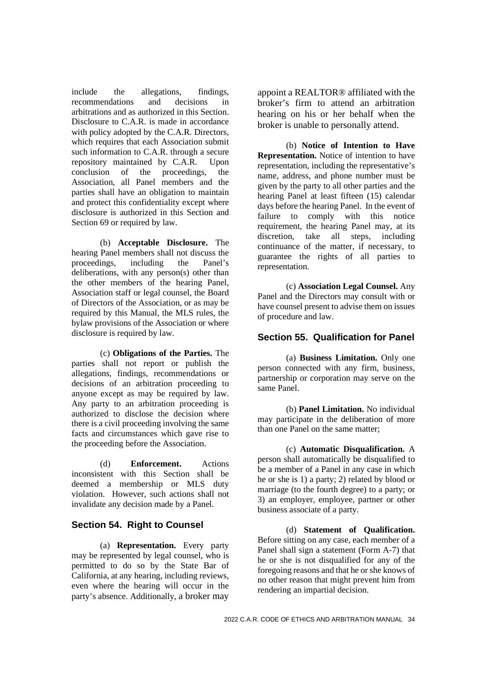include the allegations, findings, recommendations and decisions in arbitrations and as authorized in this Section. Disclosure to C.A.R. is made in accordance with policy adopted by the C.A.R. Directors, which requires that each Association submit such information to C.A.R. through a secure repository maintained by C.A.R. Upon conclusion of the proceedings, the Association, all Panel members and the parties shall have an obligation to maintain and protect this confidentiality except where disclosure is authorized in this Section and Section 69 or required by law.

(b) **Acceptable Disclosure.** The hearing Panel members shall not discuss the proceedings, including the Panel's deliberations, with any person(s) other than the other members of the hearing Panel, Association staff or legal counsel, the Board of Directors of the Association, or as may be required by this Manual, the MLS rules, the bylaw provisions of the Association or where disclosure is required by law.

(c) **Obligations of the Parties.** The parties shall not report or publish the allegations, findings, recommendations or decisions of an arbitration proceeding to anyone except as may be required by law. Any party to an arbitration proceeding is authorized to disclose the decision where there is a civil proceeding involving the same facts and circumstances which gave rise to the proceeding before the Association.

(d) **Enforcement.** Actions inconsistent with this Section shall be deemed a membership or MLS duty violation. However, such actions shall not invalidate any decision made by a Panel.

### **Section 54. Right to Counsel**

(a) **Representation.** Every party may be represented by legal counsel, who is permitted to do so by the State Bar of California, at any hearing, including reviews, even where the hearing will occur in the party's absence. Additionally, a broker may

appoint a REALTOR® affiliated with the broker's firm to attend an arbitration hearing on his or her behalf when the broker is unable to personally attend.

(b) **Notice of Intention to Have Representation.** Notice of intention to have representation, including the representative's name, address, and phone number must be given by the party to all other parties and the hearing Panel at least fifteen (15) calendar days before the hearing Panel. In the event of failure to comply with this notice requirement, the hearing Panel may, at its discretion, take all steps, including continuance of the matter, if necessary, to guarantee the rights of all parties to representation.

(c) **Association Legal Counsel.** Any Panel and the Directors may consult with or have counsel present to advise them on issues of procedure and law.

#### **Section 55. Qualification for Panel**

(a) **Business Limitation.** Only one person connected with any firm, business, partnership or corporation may serve on the same Panel.

(b) **Panel Limitation.** No individual may participate in the deliberation of more than one Panel on the same matter;

(c) **Automatic Disqualification.** A person shall automatically be disqualified to be a member of a Panel in any case in which he or she is 1) a party; 2) related by blood or marriage (to the fourth degree) to a party; or 3) an employer, employee, partner or other business associate of a party.

(d) **Statement of Qualification.** Before sitting on any case, each member of a Panel shall sign a statement (Form A-7) that he or she is not disqualified for any of the foregoing reasons and that he or she knows of no other reason that might prevent him from rendering an impartial decision.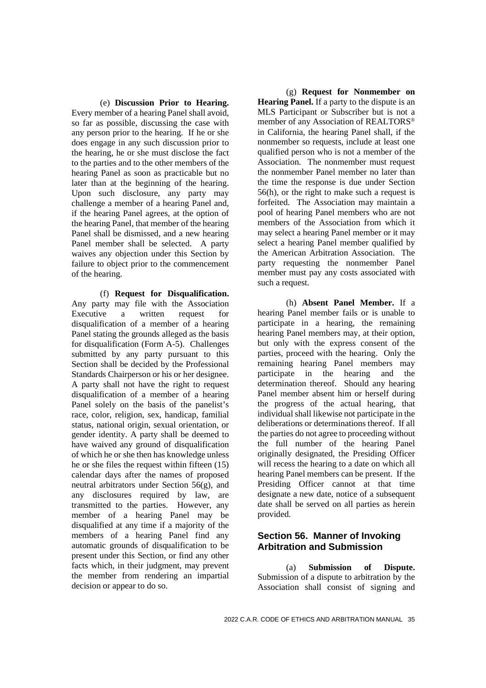(e) **Discussion Prior to Hearing.** Every member of a hearing Panel shall avoid, so far as possible, discussing the case with any person prior to the hearing. If he or she does engage in any such discussion prior to the hearing, he or she must disclose the fact to the parties and to the other members of the hearing Panel as soon as practicable but no later than at the beginning of the hearing. Upon such disclosure, any party may challenge a member of a hearing Panel and, if the hearing Panel agrees, at the option of the hearing Panel, that member of the hearing Panel shall be dismissed, and a new hearing Panel member shall be selected. A party waives any objection under this Section by failure to object prior to the commencement of the hearing.

(f) **Request for Disqualification.** Any party may file with the Association Executive a written request for disqualification of a member of a hearing Panel stating the grounds alleged as the basis for disqualification (Form A-5). Challenges submitted by any party pursuant to this Section shall be decided by the Professional Standards Chairperson or his or her designee. A party shall not have the right to request disqualification of a member of a hearing Panel solely on the basis of the panelist's race, color, religion, sex, handicap, familial status, national origin, sexual orientation, or gender identity. A party shall be deemed to have waived any ground of disqualification of which he or she then has knowledge unless he or she files the request within fifteen (15) calendar days after the names of proposed neutral arbitrators under Section 56(g), and any disclosures required by law, are transmitted to the parties. However, any member of a hearing Panel may be disqualified at any time if a majority of the members of a hearing Panel find any automatic grounds of disqualification to be present under this Section, or find any other facts which, in their judgment, may prevent the member from rendering an impartial decision or appear to do so.

(g) **Request for Nonmember on Hearing Panel.** If a party to the dispute is an MLS Participant or Subscriber but is not a member of any Association of REALTORS® in California, the hearing Panel shall, if the nonmember so requests, include at least one qualified person who is not a member of the Association. The nonmember must request the nonmember Panel member no later than the time the response is due under Section 56(h), or the right to make such a request is forfeited. The Association may maintain a pool of hearing Panel members who are not members of the Association from which it may select a hearing Panel member or it may select a hearing Panel member qualified by the American Arbitration Association. The party requesting the nonmember Panel member must pay any costs associated with such a request.

(h) **Absent Panel Member.** If a hearing Panel member fails or is unable to participate in a hearing, the remaining hearing Panel members may, at their option, but only with the express consent of the parties, proceed with the hearing. Only the remaining hearing Panel members may participate in the hearing and the determination thereof. Should any hearing Panel member absent him or herself during the progress of the actual hearing, that individual shall likewise not participate in the deliberations or determinations thereof. If all the parties do not agree to proceeding without the full number of the hearing Panel originally designated, the Presiding Officer will recess the hearing to a date on which all hearing Panel members can be present. If the Presiding Officer cannot at that time designate a new date, notice of a subsequent date shall be served on all parties as herein provided.

### **Section 56. Manner of Invoking Arbitration and Submission**

(a) **Submission of Dispute.** Submission of a dispute to arbitration by the Association shall consist of signing and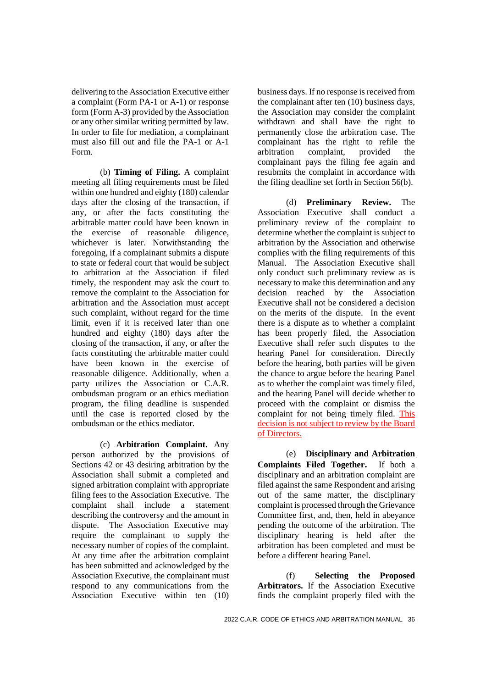delivering to the Association Executive either a complaint (Form PA-1 or A-1) or response form (Form A-3) provided by the Association or any other similar writing permitted by law. In order to file for mediation, a complainant must also fill out and file the PA-1 or A-1 Form.

(b) **Timing of Filing.** A complaint meeting all filing requirements must be filed within one hundred and eighty (180) calendar days after the closing of the transaction, if any, or after the facts constituting the arbitrable matter could have been known in the exercise of reasonable diligence, whichever is later. Notwithstanding the foregoing, if a complainant submits a dispute to state or federal court that would be subject to arbitration at the Association if filed timely, the respondent may ask the court to remove the complaint to the Association for arbitration and the Association must accept such complaint, without regard for the time limit, even if it is received later than one hundred and eighty (180) days after the closing of the transaction, if any, or after the facts constituting the arbitrable matter could have been known in the exercise of reasonable diligence. Additionally, when a party utilizes the Association or C.A.R. ombudsman program or an ethics mediation program, the filing deadline is suspended until the case is reported closed by the ombudsman or the ethics mediator.

(c) **Arbitration Complaint.** Any person authorized by the provisions of Sections 42 or 43 desiring arbitration by the Association shall submit a completed and signed arbitration complaint with appropriate filing fees to the Association Executive. The complaint shall include a statement describing the controversy and the amount in dispute. The Association Executive may require the complainant to supply the necessary number of copies of the complaint. At any time after the arbitration complaint has been submitted and acknowledged by the Association Executive, the complainant must respond to any communications from the Association Executive within ten (10)

business days. If no response is received from the complainant after ten (10) business days, the Association may consider the complaint withdrawn and shall have the right to permanently close the arbitration case. The complainant has the right to refile the<br>arbitration complaint, provided the arbitration complaint, provided the complainant pays the filing fee again and resubmits the complaint in accordance with the filing deadline set forth in Section 56(b).

(d) **Preliminary Review.** The Association Executive shall conduct a preliminary review of the complaint to determine whether the complaint is subject to arbitration by the Association and otherwise complies with the filing requirements of this Manual. The Association Executive shall only conduct such preliminary review as is necessary to make this determination and any decision reached by the Association Executive shall not be considered a decision on the merits of the dispute. In the event there is a dispute as to whether a complaint has been properly filed, the Association Executive shall refer such disputes to the hearing Panel for consideration. Directly before the hearing, both parties will be given the chance to argue before the hearing Panel as to whether the complaint was timely filed, and the hearing Panel will decide whether to proceed with the complaint or dismiss the complaint for not being timely filed. This decision is not subject to review by the Board of Directors.

(e) **Disciplinary and Arbitration Complaints Filed Together.** If both a disciplinary and an arbitration complaint are filed against the same Respondent and arising out of the same matter, the disciplinary complaint is processed through the Grievance Committee first, and, then, held in abeyance pending the outcome of the arbitration. The disciplinary hearing is held after the arbitration has been completed and must be before a different hearing Panel.

(f) **Selecting the Proposed Arbitrators.** If the Association Executive finds the complaint properly filed with the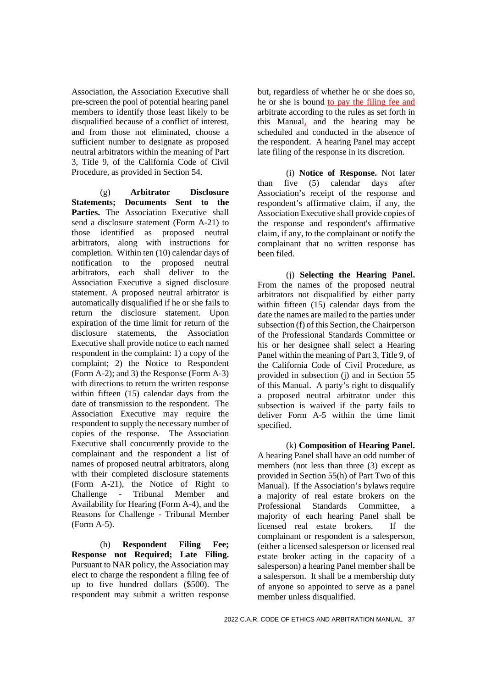Association, the Association Executive shall pre-screen the pool of potential hearing panel members to identify those least likely to be disqualified because of a conflict of interest, and from those not eliminated, choose a sufficient number to designate as proposed neutral arbitrators within the meaning of Part 3, Title 9, of the California Code of Civil Procedure, as provided in Section 54.

(g) **Arbitrator Disclosure Statements; Documents Sent to the** Parties. The Association Executive shall send a disclosure statement (Form A-21) to those identified as proposed neutral arbitrators, along with instructions for completion. Within ten (10) calendar days of notification to the proposed neutral arbitrators, each shall deliver to the Association Executive a signed disclosure statement. A proposed neutral arbitrator is automatically disqualified if he or she fails to return the disclosure statement. Upon expiration of the time limit for return of the disclosure statements, the Association Executive shall provide notice to each named respondent in the complaint: 1) a copy of the complaint; 2) the Notice to Respondent (Form A-2); and 3) the Response (Form A-3) with directions to return the written response within fifteen (15) calendar days from the date of transmission to the respondent. The Association Executive may require the respondent to supply the necessary number of copies of the response. The Association Executive shall concurrently provide to the complainant and the respondent a list of names of proposed neutral arbitrators, along with their completed disclosure statements (Form A-21), the Notice of Right to Challenge - Tribunal Member and Availability for Hearing (Form A-4), and the Reasons for Challenge - Tribunal Member (Form A-5).

(h) **Respondent Filing Fee; Response not Required; Late Filing.** Pursuant to NAR policy, the Association may elect to charge the respondent a filing fee of up to five hundred dollars (\$500). The respondent may submit a written response

but, regardless of whether he or she does so, he or she is bound to pay the filing fee and arbitrate according to the rules as set forth in this Manual, and the hearing may be scheduled and conducted in the absence of the respondent. A hearing Panel may accept late filing of the response in its discretion.

(i) **Notice of Response.** Not later than five (5) calendar days after Association's receipt of the response and respondent's affirmative claim, if any, the Association Executive shall provide copies of the response and respondent's affirmative claim, if any, to the complainant or notify the complainant that no written response has been filed.

(j) **Selecting the Hearing Panel.** From the names of the proposed neutral arbitrators not disqualified by either party within fifteen (15) calendar days from the date the names are mailed to the parties under subsection (f) of this Section, the Chairperson of the Professional Standards Committee or his or her designee shall select a Hearing Panel within the meaning of Part 3, Title 9, of the California Code of Civil Procedure, as provided in subsection (j) and in Section 55 of this Manual. A party's right to disqualify a proposed neutral arbitrator under this subsection is waived if the party fails to deliver Form A-5 within the time limit specified.

(k) **Composition of Hearing Panel.** A hearing Panel shall have an odd number of members (not less than three  $(3)$  except as provided in Section 55(h) of Part Two of this Manual). If the Association's bylaws require a majority of real estate brokers on the Professional Standards Committee, a majority of each hearing Panel shall be licensed real estate brokers. If the complainant or respondent is a salesperson, (either a licensed salesperson or licensed real estate broker acting in the capacity of a salesperson) a hearing Panel member shall be a salesperson. It shall be a membership duty of anyone so appointed to serve as a panel member unless disqualified.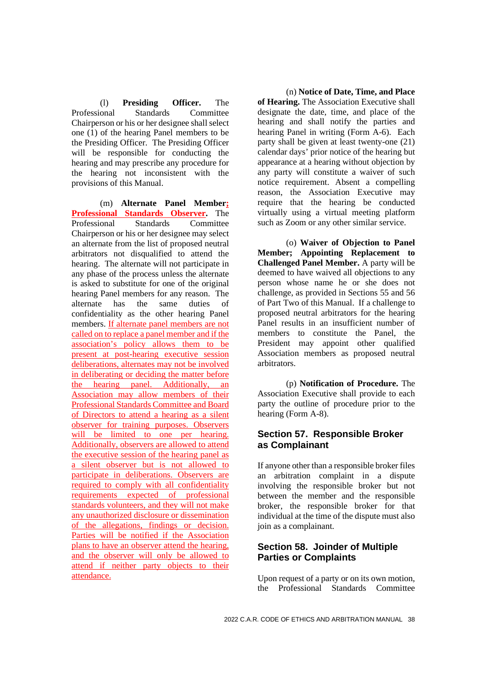(l) **Presiding Officer.** The Professional Standards Committee Chairperson or his or her designee shall select one (1) of the hearing Panel members to be the Presiding Officer. The Presiding Officer will be responsible for conducting the hearing and may prescribe any procedure for the hearing not inconsistent with the provisions of this Manual.

(m) **Alternate Panel Member; Professional Standards Observer.** The Professional Standards Committee Chairperson or his or her designee may select an alternate from the list of proposed neutral arbitrators not disqualified to attend the hearing. The alternate will not participate in any phase of the process unless the alternate is asked to substitute for one of the original hearing Panel members for any reason. The alternate has the same duties of confidentiality as the other hearing Panel members. If alternate panel members are not called on to replace a panel member and if the association's policy allows them to be present at post-hearing executive session deliberations, alternates may not be involved in deliberating or deciding the matter before the hearing panel. Additionally, an Association may allow members of their Professional Standards Committee and Board of Directors to attend a hearing as a silent observer for training purposes. Observers will be limited to one per hearing. Additionally, observers are allowed to attend the executive session of the hearing panel as a silent observer but is not allowed to participate in deliberations. Observers are required to comply with all confidentiality requirements expected of professional standards volunteers, and they will not make any unauthorized disclosure or dissemination of the allegations, findings or decision. Parties will be notified if the Association plans to have an observer attend the hearing, and the observer will only be allowed to attend if neither party objects to their attendance.

(n) **Notice of Date, Time, and Place of Hearing.** The Association Executive shall designate the date, time, and place of the hearing and shall notify the parties and hearing Panel in writing (Form A-6). Each party shall be given at least twenty-one (21) calendar days' prior notice of the hearing but appearance at a hearing without objection by any party will constitute a waiver of such notice requirement. Absent a compelling reason, the Association Executive may require that the hearing be conducted virtually using a virtual meeting platform such as Zoom or any other similar service.

(o) **Waiver of Objection to Panel Member; Appointing Replacement to Challenged Panel Member.** A party will be deemed to have waived all objections to any person whose name he or she does not challenge, as provided in Sections 55 and 56 of Part Two of this Manual. If a challenge to proposed neutral arbitrators for the hearing Panel results in an insufficient number of members to constitute the Panel, the President may appoint other qualified Association members as proposed neutral arbitrators.

(p) **Notification of Procedure.** The Association Executive shall provide to each party the outline of procedure prior to the hearing (Form A-8).

# **Section 57. Responsible Broker as Complainant**

If anyone other than a responsible broker files an arbitration complaint in a dispute involving the responsible broker but not between the member and the responsible broker, the responsible broker for that individual at the time of the dispute must also join as a complainant.

# **Section 58. Joinder of Multiple Parties or Complaints**

Upon request of a party or on its own motion. the Professional Standards Committee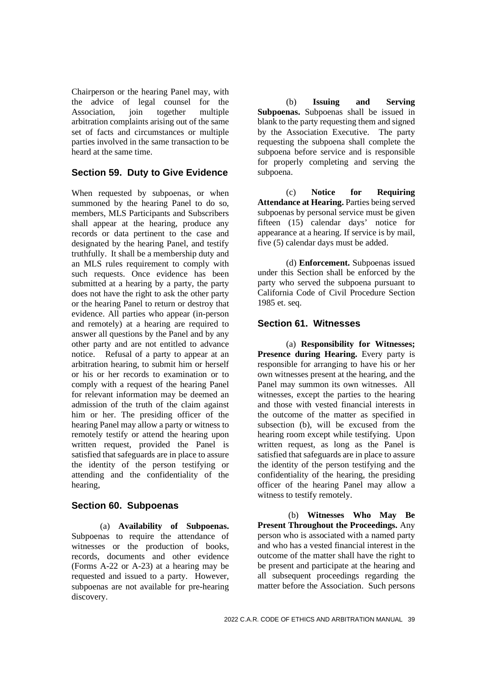Chairperson or the hearing Panel may, with the advice of legal counsel for the Association, join together multiple arbitration complaints arising out of the same set of facts and circumstances or multiple parties involved in the same transaction to be heard at the same time.

#### **Section 59. Duty to Give Evidence**

When requested by subpoenas, or when summoned by the hearing Panel to do so, members, MLS Participants and Subscribers shall appear at the hearing, produce any records or data pertinent to the case and designated by the hearing Panel, and testify truthfully. It shall be a membership duty and an MLS rules requirement to comply with such requests. Once evidence has been submitted at a hearing by a party, the party does not have the right to ask the other party or the hearing Panel to return or destroy that evidence. All parties who appear (in-person and remotely) at a hearing are required to answer all questions by the Panel and by any other party and are not entitled to advance notice. Refusal of a party to appear at an arbitration hearing, to submit him or herself or his or her records to examination or to comply with a request of the hearing Panel for relevant information may be deemed an admission of the truth of the claim against him or her. The presiding officer of the hearing Panel may allow a party or witness to remotely testify or attend the hearing upon written request, provided the Panel is satisfied that safeguards are in place to assure the identity of the person testifying or attending and the confidentiality of the hearing,

### **Section 60. Subpoenas**

(a) **Availability of Subpoenas.** Subpoenas to require the attendance of witnesses or the production of books, records, documents and other evidence (Forms A-22 or A-23) at a hearing may be requested and issued to a party. However, subpoenas are not available for pre-hearing discovery.

(b) **Issuing and Serving Subpoenas.** Subpoenas shall be issued in blank to the party requesting them and signed by the Association Executive. The party requesting the subpoena shall complete the subpoena before service and is responsible for properly completing and serving the subpoena.

(c) **Notice for Requiring Attendance at Hearing.** Parties being served subpoenas by personal service must be given fifteen (15) calendar days' notice for appearance at a hearing. If service is by mail, five (5) calendar days must be added.

(d) **Enforcement.** Subpoenas issued under this Section shall be enforced by the party who served the subpoena pursuant to California Code of Civil Procedure Section 1985 et. seq.

#### **Section 61. Witnesses**

(a) **Responsibility for Witnesses; Presence during Hearing.** Every party is responsible for arranging to have his or her own witnesses present at the hearing, and the Panel may summon its own witnesses. All witnesses, except the parties to the hearing and those with vested financial interests in the outcome of the matter as specified in subsection (b), will be excused from the hearing room except while testifying. Upon written request, as long as the Panel is satisfied that safeguards are in place to assure the identity of the person testifying and the confidentiality of the hearing, the presiding officer of the hearing Panel may allow a witness to testify remotely.

(b) **Witnesses Who May Be Present Throughout the Proceedings.** Any person who is associated with a named party and who has a vested financial interest in the outcome of the matter shall have the right to be present and participate at the hearing and all subsequent proceedings regarding the matter before the Association. Such persons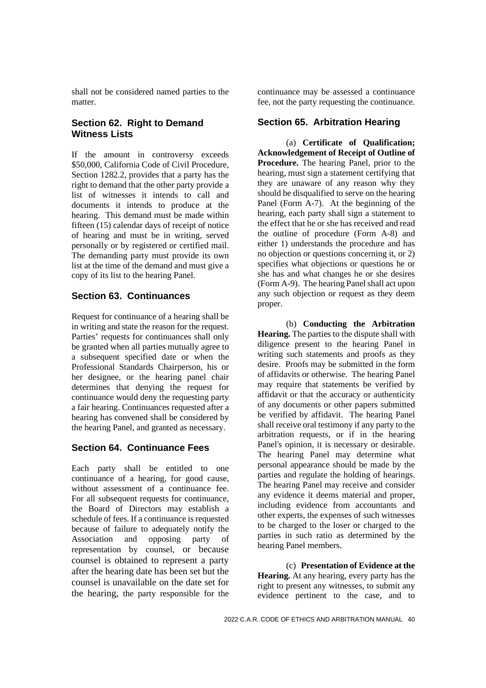shall not be considered named parties to the matter.

# **Section 62. Right to Demand Witness Lists**

If the amount in controversy exceeds \$50,000, California Code of Civil Procedure, Section 1282.2, provides that a party has the right to demand that the other party provide a list of witnesses it intends to call and documents it intends to produce at the hearing. This demand must be made within fifteen (15) calendar days of receipt of notice of hearing and must be in writing, served personally or by registered or certified mail. The demanding party must provide its own list at the time of the demand and must give a copy of its list to the hearing Panel.

### **Section 63. Continuances**

Request for continuance of a hearing shall be in writing and state the reason for the request. Parties' requests for continuances shall only be granted when all parties mutually agree to a subsequent specified date or when the Professional Standards Chairperson, his or her designee, or the hearing panel chair determines that denying the request for continuance would deny the requesting party a fair hearing. Continuances requested after a hearing has convened shall be considered by the hearing Panel, and granted as necessary.

### **Section 64. Continuance Fees**

Each party shall be entitled to one continuance of a hearing, for good cause, without assessment of a continuance fee. For all subsequent requests for continuance, the Board of Directors may establish a schedule of fees. If a continuance is requested because of failure to adequately notify the Association and opposing party of representation by counsel, or because counsel is obtained to represent a party after the hearing date has been set but the counsel is unavailable on the date set for the hearing, the party responsible for the

continuance may be assessed a continuance fee, not the party requesting the continuance.

#### **Section 65. Arbitration Hearing**

(a) **Certificate of Qualification; Acknowledgement of Receipt of Outline of Procedure.** The hearing Panel, prior to the hearing, must sign a statement certifying that they are unaware of any reason why they should be disqualified to serve on the hearing Panel (Form A-7). At the beginning of the hearing, each party shall sign a statement to the effect that he or she has received and read the outline of procedure (Form A-8) and either 1) understands the procedure and has no objection or questions concerning it, or 2) specifies what objections or questions he or she has and what changes he or she desires (Form A-9). The hearing Panel shall act upon any such objection or request as they deem proper.

(b) **Conducting the Arbitration Hearing.** The parties to the dispute shall with diligence present to the hearing Panel in writing such statements and proofs as they desire. Proofs may be submitted in the form of affidavits or otherwise. The hearing Panel may require that statements be verified by affidavit or that the accuracy or authenticity of any documents or other papers submitted be verified by affidavit. The hearing Panel shall receive oral testimony if any party to the arbitration requests, or if in the hearing Panel's opinion, it is necessary or desirable. The hearing Panel may determine what personal appearance should be made by the parties and regulate the holding of hearings. The hearing Panel may receive and consider any evidence it deems material and proper, including evidence from accountants and other experts, the expenses of such witnesses to be charged to the loser or charged to the parties in such ratio as determined by the hearing Panel members.

(c) **Presentation of Evidence at the Hearing.** At any hearing, every party has the right to present any witnesses, to submit any evidence pertinent to the case, and to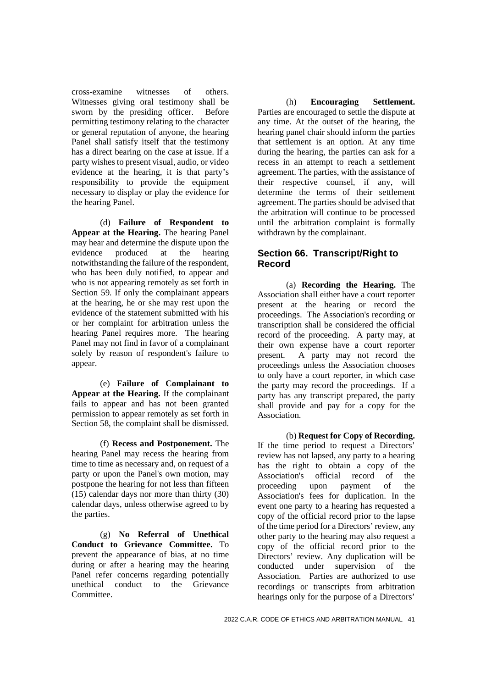cross-examine witnesses of others. Witnesses giving oral testimony shall be sworn by the presiding officer. Before permitting testimony relating to the character or general reputation of anyone, the hearing Panel shall satisfy itself that the testimony has a direct bearing on the case at issue. If a party wishes to present visual, audio, or video evidence at the hearing, it is that party's responsibility to provide the equipment necessary to display or play the evidence for the hearing Panel.

(d) **Failure of Respondent to Appear at the Hearing.** The hearing Panel may hear and determine the dispute upon the evidence produced at the hearing notwithstanding the failure of the respondent, who has been duly notified, to appear and who is not appearing remotely as set forth in Section 59. If only the complainant appears at the hearing, he or she may rest upon the evidence of the statement submitted with his or her complaint for arbitration unless the hearing Panel requires more. The hearing Panel may not find in favor of a complainant solely by reason of respondent's failure to appear.

(e) **Failure of Complainant to Appear at the Hearing.** If the complainant fails to appear and has not been granted permission to appear remotely as set forth in Section 58, the complaint shall be dismissed.

(f) **Recess and Postponement.** The hearing Panel may recess the hearing from time to time as necessary and, on request of a party or upon the Panel's own motion, may postpone the hearing for not less than fifteen (15) calendar days nor more than thirty (30) calendar days, unless otherwise agreed to by the parties.

(g) **No Referral of Unethical Conduct to Grievance Committee.** To prevent the appearance of bias, at no time during or after a hearing may the hearing Panel refer concerns regarding potentially unethical conduct to the Grievance Committee.

(h) **Encouraging Settlement.** Parties are encouraged to settle the dispute at any time. At the outset of the hearing, the hearing panel chair should inform the parties that settlement is an option. At any time during the hearing, the parties can ask for a recess in an attempt to reach a settlement agreement. The parties, with the assistance of their respective counsel, if any, will determine the terms of their settlement agreement. The parties should be advised that the arbitration will continue to be processed until the arbitration complaint is formally withdrawn by the complainant.

## **Section 66. Transcript/Right to Record**

(a) **Recording the Hearing.** The Association shall either have a court reporter present at the hearing or record the proceedings. The Association's recording or transcription shall be considered the official record of the proceeding. A party may, at their own expense have a court reporter present. A party may not record the proceedings unless the Association chooses to only have a court reporter, in which case the party may record the proceedings. If a party has any transcript prepared, the party shall provide and pay for a copy for the Association.

(b) **Request for Copy of Recording.** If the time period to request a Directors' review has not lapsed, any party to a hearing has the right to obtain a copy of the Association's official record of the proceeding upon payment of the Association's fees for duplication. In the event one party to a hearing has requested a copy of the official record prior to the lapse of the time period for a Directors' review, any other party to the hearing may also request a copy of the official record prior to the Directors' review. Any duplication will be conducted under supervision of the Association. Parties are authorized to use recordings or transcripts from arbitration hearings only for the purpose of a Directors'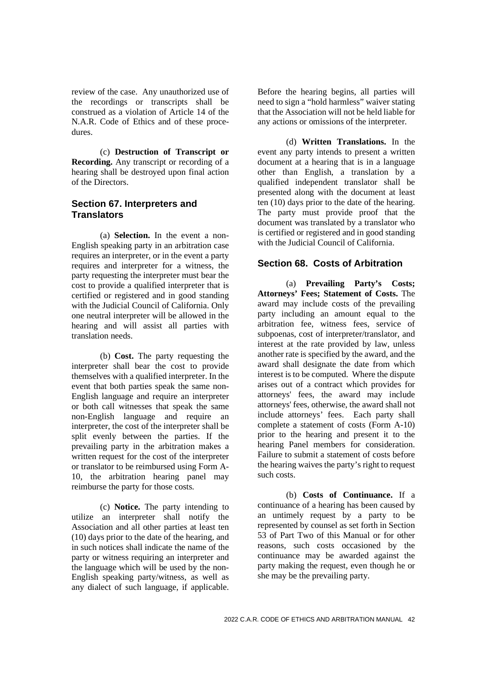review of the case. Any unauthorized use of the recordings or transcripts shall be construed as a violation of Article 14 of the N.A.R. Code of Ethics and of these procedures.

(c) **Destruction of Transcript or Recording.** Any transcript or recording of a hearing shall be destroyed upon final action of the Directors.

# **Section 67. Interpreters and Translators**

(a) **Selection.** In the event a non-English speaking party in an arbitration case requires an interpreter, or in the event a party requires and interpreter for a witness, the party requesting the interpreter must bear the cost to provide a qualified interpreter that is certified or registered and in good standing with the Judicial Council of California. Only one neutral interpreter will be allowed in the hearing and will assist all parties with translation needs.

(b) **Cost.** The party requesting the interpreter shall bear the cost to provide themselves with a qualified interpreter. In the event that both parties speak the same non-English language and require an interpreter or both call witnesses that speak the same non-English language and require an interpreter, the cost of the interpreter shall be split evenly between the parties. If the prevailing party in the arbitration makes a written request for the cost of the interpreter or translator to be reimbursed using Form A-10, the arbitration hearing panel may reimburse the party for those costs*.*

(c) **Notice.** The party intending to utilize an interpreter shall notify the Association and all other parties at least ten (10) days prior to the date of the hearing, and in such notices shall indicate the name of the party or witness requiring an interpreter and the language which will be used by the non-English speaking party/witness, as well as any dialect of such language, if applicable.

Before the hearing begins, all parties will need to sign a "hold harmless" waiver stating that the Association will not be held liable for any actions or omissions of the interpreter.

(d) **Written Translations.** In the event any party intends to present a written document at a hearing that is in a language other than English, a translation by a qualified independent translator shall be presented along with the document at least ten (10) days prior to the date of the hearing. The party must provide proof that the document was translated by a translator who is certified or registered and in good standing with the Judicial Council of California.

# **Section 68. Costs of Arbitration**

(a) **Prevailing Party's Costs; Attorneys' Fees; Statement of Costs.** The award may include costs of the prevailing party including an amount equal to the arbitration fee, witness fees, service of subpoenas, cost of interpreter/translator, and interest at the rate provided by law, unless another rate is specified by the award, and the award shall designate the date from which interest is to be computed. Where the dispute arises out of a contract which provides for attorneys' fees, the award may include attorneys' fees, otherwise, the award shall not include attorneys' fees. Each party shall complete a statement of costs (Form A-10) prior to the hearing and present it to the hearing Panel members for consideration. Failure to submit a statement of costs before the hearing waives the party's right to request such costs.

(b) **Costs of Continuance.** If a continuance of a hearing has been caused by an untimely request by a party to be represented by counsel as set forth in Section 53 of Part Two of this Manual or for other reasons, such costs occasioned by the continuance may be awarded against the party making the request, even though he or she may be the prevailing party.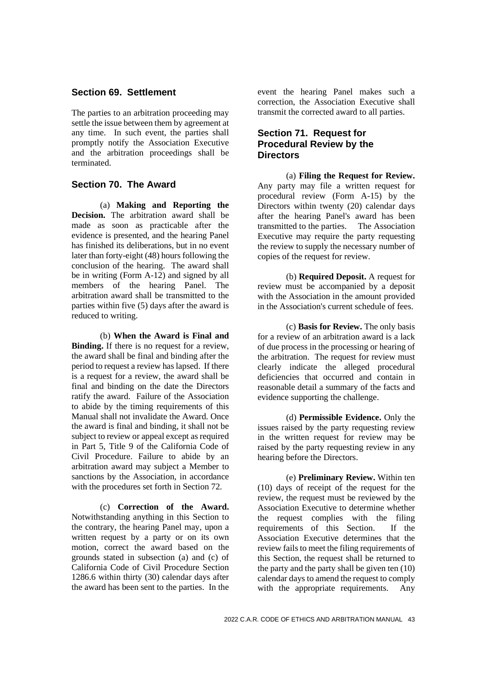#### **Section 69. Settlement**

The parties to an arbitration proceeding may settle the issue between them by agreement at any time. In such event, the parties shall promptly notify the Association Executive and the arbitration proceedings shall be terminated.

### **Section 70. The Award**

(a) **Making and Reporting the Decision.** The arbitration award shall be made as soon as practicable after the evidence is presented, and the hearing Panel has finished its deliberations, but in no event later than forty-eight (48) hours following the conclusion of the hearing. The award shall be in writing (Form A-12) and signed by all members of the hearing Panel. The arbitration award shall be transmitted to the parties within five (5) days after the award is reduced to writing.

(b) **When the Award is Final and Binding.** If there is no request for a review, the award shall be final and binding after the period to request a review has lapsed. If there is a request for a review, the award shall be final and binding on the date the Directors ratify the award. Failure of the Association to abide by the timing requirements of this Manual shall not invalidate the Award. Once the award is final and binding, it shall not be subject to review or appeal except as required in Part 5, Title 9 of the California Code of Civil Procedure. Failure to abide by an arbitration award may subject a Member to sanctions by the Association, in accordance with the procedures set forth in Section 72.

(c) **Correction of the Award.** Notwithstanding anything in this Section to the contrary, the hearing Panel may, upon a written request by a party or on its own motion, correct the award based on the grounds stated in subsection (a) and (c) of California Code of Civil Procedure Section 1286.6 within thirty (30) calendar days after the award has been sent to the parties. In the

event the hearing Panel makes such a correction, the Association Executive shall transmit the corrected award to all parties.

#### **Section 71. Request for Procedural Review by the Directors**

(a) **Filing the Request for Review.** Any party may file a written request for procedural review (Form A-15) by the Directors within twenty (20) calendar days after the hearing Panel's award has been transmitted to the parties. The Association Executive may require the party requesting the review to supply the necessary number of copies of the request for review.

(b) **Required Deposit.** A request for review must be accompanied by a deposit with the Association in the amount provided in the Association's current schedule of fees.

(c) **Basis for Review.** The only basis for a review of an arbitration award is a lack of due process in the processing or hearing of the arbitration. The request for review must clearly indicate the alleged procedural deficiencies that occurred and contain in reasonable detail a summary of the facts and evidence supporting the challenge.

(d) **Permissible Evidence.** Only the issues raised by the party requesting review in the written request for review may be raised by the party requesting review in any hearing before the Directors.

(e) **Preliminary Review.** Within ten (10) days of receipt of the request for the review, the request must be reviewed by the Association Executive to determine whether the request complies with the filing requirements of this Section. If the Association Executive determines that the review fails to meet the filing requirements of this Section, the request shall be returned to the party and the party shall be given ten (10) calendar days to amend the request to comply with the appropriate requirements. Any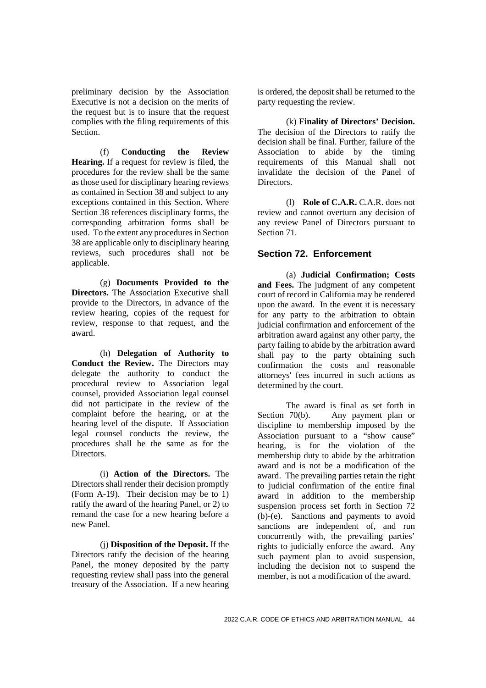preliminary decision by the Association Executive is not a decision on the merits of the request but is to insure that the request complies with the filing requirements of this Section.

(f) **Conducting the Review Hearing.** If a request for review is filed, the procedures for the review shall be the same as those used for disciplinary hearing reviews as contained in Section 38 and subject to any exceptions contained in this Section. Where Section 38 references disciplinary forms, the corresponding arbitration forms shall be used. To the extent any procedures in Section 38 are applicable only to disciplinary hearing reviews, such procedures shall not be applicable.

(g) **Documents Provided to the Directors.** The Association Executive shall provide to the Directors, in advance of the review hearing, copies of the request for review, response to that request, and the award.

(h) **Delegation of Authority to Conduct the Review.** The Directors may delegate the authority to conduct the procedural review to Association legal counsel, provided Association legal counsel did not participate in the review of the complaint before the hearing, or at the hearing level of the dispute. If Association legal counsel conducts the review, the procedures shall be the same as for the Directors.

(i) **Action of the Directors.** The Directors shall render their decision promptly (Form A-19). Their decision may be to 1) ratify the award of the hearing Panel, or 2) to remand the case for a new hearing before a new Panel.

(j) **Disposition of the Deposit.** If the Directors ratify the decision of the hearing Panel, the money deposited by the party requesting review shall pass into the general treasury of the Association. If a new hearing

is ordered, the deposit shall be returned to the party requesting the review.

(k) **Finality of Directors' Decision.** The decision of the Directors to ratify the decision shall be final. Further, failure of the Association to abide by the timing requirements of this Manual shall not invalidate the decision of the Panel of **Directors** 

(l) **Role of C.A.R.** C.A.R. does not review and cannot overturn any decision of any review Panel of Directors pursuant to Section 71.

# **Section 72. Enforcement**

(a) **Judicial Confirmation; Costs and Fees.** The judgment of any competent court of record in California may be rendered upon the award. In the event it is necessary for any party to the arbitration to obtain judicial confirmation and enforcement of the arbitration award against any other party, the party failing to abide by the arbitration award shall pay to the party obtaining such confirmation the costs and reasonable attorneys' fees incurred in such actions as determined by the court.

The award is final as set forth in Section 70(b). Any payment plan or discipline to membership imposed by the Association pursuant to a "show cause" hearing, is for the violation of the membership duty to abide by the arbitration award and is not be a modification of the award. The prevailing parties retain the right to judicial confirmation of the entire final award in addition to the membership suspension process set forth in Section 72 (b)-(e). Sanctions and payments to avoid sanctions are independent of, and run concurrently with, the prevailing parties' rights to judicially enforce the award. Any such payment plan to avoid suspension, including the decision not to suspend the member, is not a modification of the award.